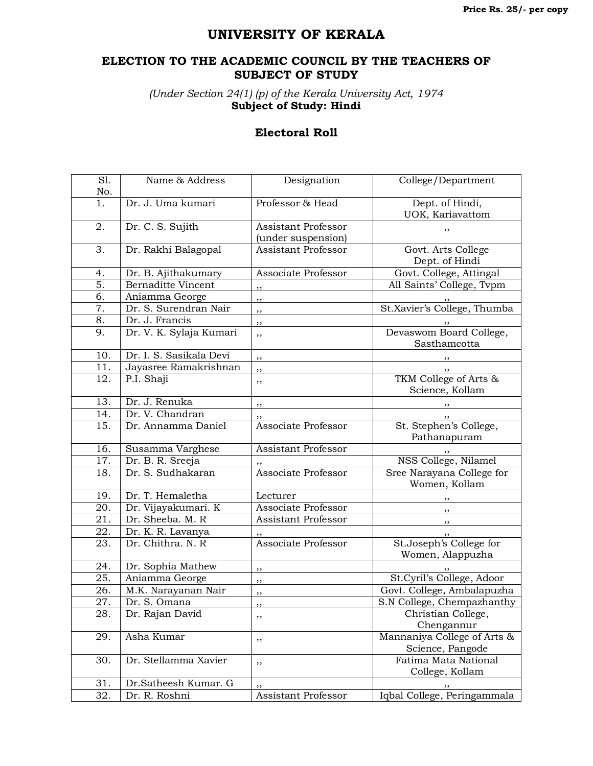## **UNIVERSITY OF KERALA**

## **ELECTION TO THE ACADEMIC COUNCIL BY THE TEACHERS OF SUBJECT OF STUDY**

*(Under Section 24(1) (p) of the Kerala University Act, 1974* **Subject of Study: Hindi**

## **Electoral Roll**

| $\overline{SI}$ . | Name & Address            | Designation                | College/Department                       |
|-------------------|---------------------------|----------------------------|------------------------------------------|
| No.               |                           |                            |                                          |
| 1.                | Dr. J. Uma kumari         | Professor & Head           | Dept. of Hindi,                          |
|                   |                           |                            | UOK, Kariavattom                         |
| 2.                | Dr. C. S. Sujith          | <b>Assistant Professor</b> | ,,                                       |
|                   |                           | (under suspension)         |                                          |
| 3.                | Dr. Rakhi Balagopal       | Assistant Professor        | Govt. Arts College                       |
|                   |                           |                            | Dept. of Hindi                           |
| 4.                | Dr. B. Ajithakumary       | Associate Professor        | Govt. College, Attingal                  |
| 5.                | <b>Bernaditte Vincent</b> | ,,                         | All Saints' College, Tvpm                |
| 6.                | Aniamma George            | ,,                         |                                          |
| 7.                | Dr. S. Surendran Nair     | ,,                         | St.Xavier's College, Thumba              |
| 8.                | Dr. J. Francis            | ,,                         |                                          |
| 9.                | Dr. V. K. Sylaja Kumari   | ,,                         | Devaswom Board College,                  |
|                   |                           |                            | Sasthamcotta                             |
| 10.               | Dr. I. S. Sasikala Devi   | ,,                         |                                          |
| 11.               | Jayasree Ramakrishnan     | ,,                         |                                          |
| 12.               | P.I. Shaji                | ,,                         | TKM College of Arts &<br>Science, Kollam |
| 13.               | Dr. J. Renuka             | ,,                         |                                          |
| 14.               | Dr. V. Chandran           | ,,                         |                                          |
| 15.               | Dr. Annamma Daniel        | Associate Professor        | St. Stephen's College,<br>Pathanapuram   |
| 16.               | Susamma Varghese          | Assistant Professor        |                                          |
| 17.               | Dr. B. R. Sreeja          |                            | NSS College, Nilamel                     |
| 18.               | Dr. S. Sudhakaran         | <b>Associate Professor</b> | Sree Narayana College for                |
|                   |                           |                            | Women, Kollam                            |
| 19.               | Dr. T. Hemaletha          | Lecturer                   |                                          |
| 20.               | Dr. Vijayakumari. K       | Associate Professor        |                                          |
| 21.               | Dr. Sheeba. M. R          | Assistant Professor        |                                          |
| 22.               | Dr. K. R. Lavanya         | ,,                         |                                          |
| 23.               | Dr. Chithra. N. R         | <b>Associate Professor</b> | St.Joseph's College for                  |
|                   |                           |                            | Women, Alappuzha                         |
| 24.               | Dr. Sophia Mathew         | ,,                         |                                          |
| $\overline{25}$ . | Aniamma George            | ,,                         | St. Cyril's College, Adoor               |
| 26.               | M.K. Narayanan Nair       | ,,                         | Govt. College, Ambalapuzha               |
| 27.               | Dr. S. Omana              | ,,                         | S.N College, Chempazhanthy               |
| 28.               | Dr. Rajan David           | ,,                         | Christian College,                       |
|                   |                           |                            | Chengannur                               |
| 29.               | Asha Kumar                | ,,                         | Mannaniya College of Arts &              |
|                   |                           |                            | Science, Pangode                         |
| 30.               | Dr. Stellamma Xavier      | ,,                         | Fatima Mata National                     |
|                   |                           |                            | College, Kollam                          |
| 31.               | Dr.Satheesh Kumar. G      |                            |                                          |
| 32.               | Dr. R. Roshni             | Assistant Professor        | Iqbal College, Peringammala              |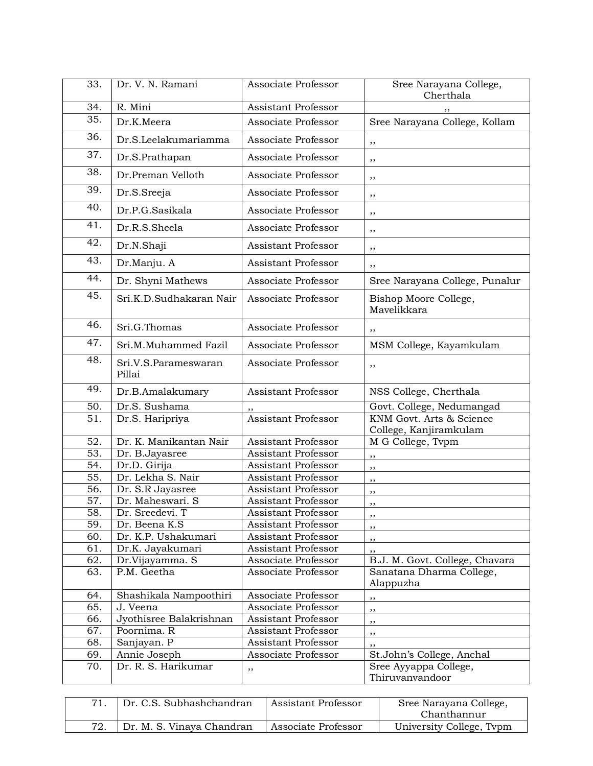| 33.               | Dr. V. N. Ramani                    | Associate Professor                               | Sree Narayana College,                                     |
|-------------------|-------------------------------------|---------------------------------------------------|------------------------------------------------------------|
|                   |                                     |                                                   | Cherthala                                                  |
| 34.               | R. Mini                             | <b>Assistant Professor</b>                        | ,,                                                         |
| 35.               | Dr.K.Meera                          | Associate Professor                               | Sree Narayana College, Kollam                              |
| 36.               | Dr.S.Leelakumariamma                | Associate Professor                               | ,,                                                         |
| 37.               | Dr.S.Prathapan                      | Associate Professor                               | ,,                                                         |
| 38.               | Dr.Preman Velloth                   | Associate Professor                               | ,,                                                         |
| 39.               | Dr.S.Sreeja                         | Associate Professor                               | ,,                                                         |
| 40.               | Dr.P.G.Sasikala                     | Associate Professor                               | ,,                                                         |
| 41.               | Dr.R.S.Sheela                       | Associate Professor                               | ,,                                                         |
| 42.               | Dr.N.Shaji                          | Assistant Professor                               | ,,                                                         |
| 43.               | Dr.Manju. A                         | Assistant Professor                               | ,,                                                         |
| 44.               | Dr. Shyni Mathews                   | Associate Professor                               | Sree Narayana College, Punalur                             |
| 45.               | Sri.K.D.Sudhakaran Nair             | Associate Professor                               | Bishop Moore College,<br>Mavelikkara                       |
| 46.               | Sri.G.Thomas                        | Associate Professor                               | ,,                                                         |
| 47.               | Sri.M.Muhammed Fazil                | Associate Professor                               | MSM College, Kayamkulam                                    |
| 48.               | Sri.V.S.Parameswaran<br>Pillai      | Associate Professor                               | ,,                                                         |
| 49.               | Dr.B.Amalakumary                    | Assistant Professor                               | NSS College, Cherthala                                     |
| 50.               | Dr.S. Sushama                       |                                                   | Govt. College, Nedumangad                                  |
| $\overline{51}$ . | Dr.S. Haripriya                     | <b>Assistant Professor</b>                        | KNM Govt. Arts & Science<br>College, Kanjiramkulam         |
| 52.               | Dr. K. Manikantan Nair              | Assistant Professor                               | M G College, Tvpm                                          |
| $\overline{53}$ . | Dr. B.Jayasree                      | <b>Assistant Professor</b>                        | ,,                                                         |
| 54.               | Dr.D. Girija                        | Assistant Professor                               | ,,                                                         |
| $\overline{55}$ . | Dr. Lekha S. Nair                   | <b>Assistant Professor</b>                        | ,,                                                         |
| 56.               | Dr. S.R Jayasree                    | <b>Assistant Professor</b>                        | ,,                                                         |
| 57.               | Dr. Maheswari. S                    | Assistant Professor                               | ,,                                                         |
| 58.               | Dr. Sreedevi. T                     | <b>Assistant Professor</b>                        | ,,                                                         |
| 59.               | Dr. Beena K.S                       | Assistant Professor<br><b>Assistant Professor</b> | , ,                                                        |
| 60.<br>61.        | Dr. K.P. Ushakumari                 | <b>Assistant Professor</b>                        | ,,                                                         |
| 62.               | Dr.K. Jayakumari<br>Dr.Vijayamma. S | Associate Professor                               | ,,                                                         |
| 63.               | P.M. Geetha                         | Associate Professor                               | B.J. M. Govt. College, Chavara<br>Sanatana Dharma College, |
|                   |                                     |                                                   | Alappuzha                                                  |
| 64.               | Shashikala Nampoothiri              | Associate Professor                               | ,,                                                         |
| 65.               | J. Veena                            | Associate Professor                               | ,,                                                         |
| 66.               | Jyothisree Balakrishnan             | <b>Assistant Professor</b>                        | ,,                                                         |
| 67.               | Poornima. R                         | Assistant Professor                               | ,,                                                         |
| 68.               | Sanjayan. P                         | Assistant Professor                               | ,,                                                         |
| 69.               | Annie Joseph                        | Associate Professor                               | St.John's College, Anchal                                  |
| 70.               | Dr. R. S. Harikumar                 | ,,                                                | Sree Ayyappa College,<br>Thiruvanvandoor                   |
|                   |                                     |                                                   |                                                            |

| Dr. C.S. Subhashchandran  | Assistant Professor | Sree Narayana College,<br>Chanthannur |
|---------------------------|---------------------|---------------------------------------|
| Dr. M. S. Vinaya Chandran | Associate Professor | University College, Typm              |